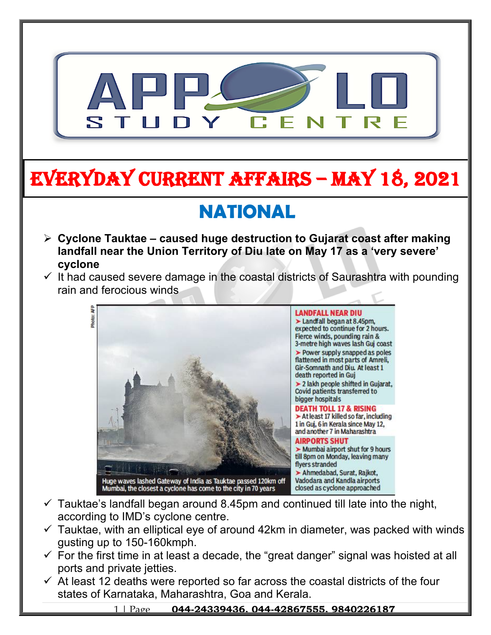

# **EVERYDAY CURRENT AFFAIRS – MAY 18, 2021**

# **NATIONAL**

**-**

- **Cyclone Tauktae caused huge destruction to Gujarat coast after making landfall near the Union Territory of Diu late on May 17 as a 'very severe' cyclone**
- $\checkmark$  It had caused severe damage in the coastal districts of Saurashtra with pounding rain and ferocious winds



- $\checkmark$  Tauktae's landfall began around 8.45pm and continued till late into the night, according to IMD's cyclone centre.
- $\checkmark$  Tauktae, with an elliptical eye of around 42km in diameter, was packed with winds gusting up to 150-160kmph.
- $\checkmark$  For the first time in at least a decade, the "great danger" signal was hoisted at all ports and private jetties.
- $\checkmark$  At least 12 deaths were reported so far across the coastal districts of the four states of Karnataka, Maharashtra, Goa and Kerala.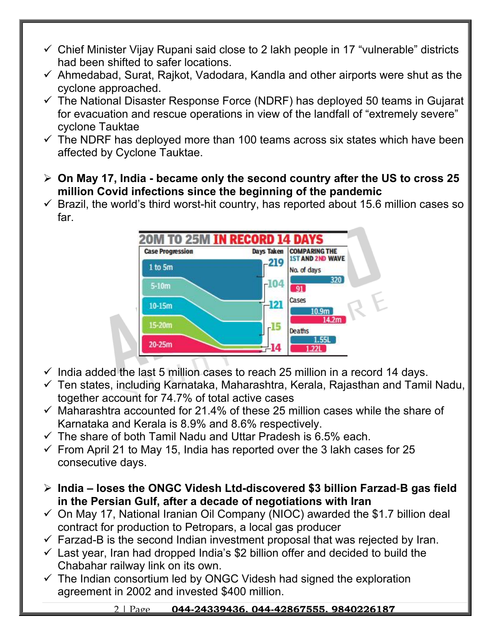- $\checkmark$  Chief Minister Vijay Rupani said close to 2 lakh people in 17 "vulnerable" districts had been shifted to safer locations.
- $\checkmark$  Ahmedabad, Surat, Rajkot, Vadodara, Kandla and other airports were shut as the cyclone approached.
- $\checkmark$  The National Disaster Response Force (NDRF) has deployed 50 teams in Gujarat for evacuation and rescue operations in view of the landfall of "extremely severe" cyclone Tauktae
- $\checkmark$  The NDRF has deployed more than 100 teams across six states which have been affected by Cyclone Tauktae.
- **On May 17, India became only the second country after the US to cross 25 million Covid infections since the beginning of the pandemic**
- $\checkmark$  Brazil, the world's third worst-hit country, has reported about 15.6 million cases so far.



- $\checkmark$  India added the last 5 million cases to reach 25 million in a record 14 days.
- $\checkmark$  Ten states, including Karnataka, Maharashtra, Kerala, Rajasthan and Tamil Nadu, together account for 74.7% of total active cases
- $\checkmark$  Maharashtra accounted for 21.4% of these 25 million cases while the share of Karnataka and Kerala is 8.9% and 8.6% respectively.
- $\checkmark$  The share of both Tamil Nadu and Uttar Pradesh is 6.5% each.
- $\checkmark$  From April 21 to May 15, India has reported over the 3 lakh cases for 25 consecutive days.
- **India loses the ONGC Videsh Ltd-discovered \$3 billion Farzad**-**B gas field in the Persian Gulf, after a decade of negotiations with Iran**
- $\checkmark$  On May 17, National Iranian Oil Company (NIOC) awarded the \$1.7 billion deal contract for production to Petropars, a local gas producer
- $\checkmark$  Farzad-B is the second Indian investment proposal that was rejected by Iran.
- $\checkmark$  Last year, Iran had dropped India's \$2 billion offer and decided to build the Chabahar railway link on its own.
- $\checkmark$  The Indian consortium led by ONGC Videsh had signed the exploration agreement in 2002 and invested \$400 million.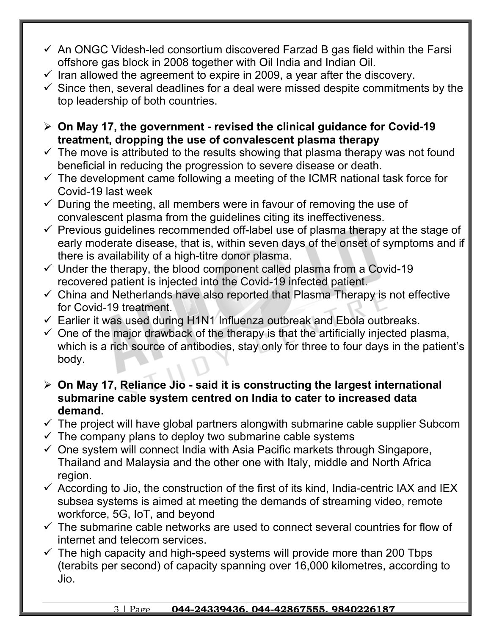- $\checkmark$  An ONGC Videsh-led consortium discovered Farzad B gas field within the Farsi offshore gas block in 2008 together with Oil India and Indian Oil.
- $\checkmark$  Iran allowed the agreement to expire in 2009, a year after the discovery.
- $\checkmark$  Since then, several deadlines for a deal were missed despite commitments by the top leadership of both countries.
- **On May 17, the government revised the clinical guidance for Covid-19 treatment, dropping the use of convalescent plasma therapy**
- $\checkmark$  The move is attributed to the results showing that plasma therapy was not found beneficial in reducing the progression to severe disease or death.
- $\checkmark$  The development came following a meeting of the ICMR national task force for Covid-19 last week
- $\checkmark$  During the meeting, all members were in favour of removing the use of convalescent plasma from the guidelines citing its ineffectiveness.
- $\checkmark$  Previous guidelines recommended off-label use of plasma therapy at the stage of early moderate disease, that is, within seven days of the onset of symptoms and if there is availability of a high-titre donor plasma.
- $\checkmark$  Under the therapy, the blood component called plasma from a Covid-19 recovered patient is injected into the Covid-19 infected patient.
- $\checkmark$  China and Netherlands have also reported that Plasma Therapy is not effective for Covid-19 treatment.
- $\checkmark$  Earlier it was used during H1N1 Influenza outbreak and Ebola outbreaks.
- $\checkmark$  One of the major drawback of the therapy is that the artificially injected plasma, which is a rich source of antibodies, stay only for three to four days in the patient's body.
- **On May 17, Reliance Jio said it is constructing the largest international submarine cable system centred on India to cater to increased data demand.**
- $\checkmark$  The project will have global partners alongwith submarine cable supplier Subcom
- $\checkmark$  The company plans to deploy two submarine cable systems
- $\checkmark$  One system will connect India with Asia Pacific markets through Singapore, Thailand and Malaysia and the other one with Italy, middle and North Africa region.
- $\checkmark$  According to Jio, the construction of the first of its kind, India-centric IAX and IEX subsea systems is aimed at meeting the demands of streaming video, remote workforce, 5G, IoT, and beyond
- $\checkmark$  The submarine cable networks are used to connect several countries for flow of internet and telecom services.
- $\checkmark$  The high capacity and high-speed systems will provide more than 200 Tbps (terabits per second) of capacity spanning over 16,000 kilometres, according to Jio.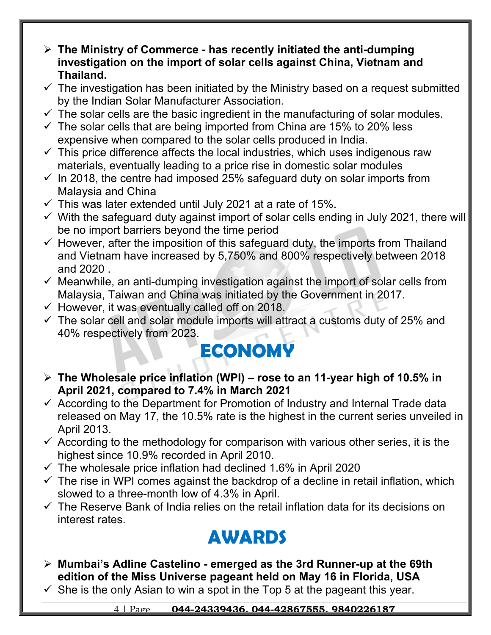- **The Ministry of Commerce has recently initiated the anti-dumping investigation on the import of solar cells against China, Vietnam and Thailand.**
- $\checkmark$  The investigation has been initiated by the Ministry based on a request submitted by the Indian Solar Manufacturer Association.
- $\checkmark$  The solar cells are the basic ingredient in the manufacturing of solar modules.
- $\checkmark$  The solar cells that are being imported from China are 15% to 20% less expensive when compared to the solar cells produced in India.
- $\checkmark$  This price difference affects the local industries, which uses indigenous raw materials, eventually leading to a price rise in domestic solar modules
- $\checkmark$  In 2018, the centre had imposed 25% safeguard duty on solar imports from Malaysia and China
- $\checkmark$  This was later extended until July 2021 at a rate of 15%.
- $\checkmark$  With the safeguard duty against import of solar cells ending in July 2021, there will be no import barriers beyond the time period
- $\checkmark$  However, after the imposition of this safeguard duty, the imports from Thailand and Vietnam have increased by 5,750% and 800% respectively between 2018 and 2020 .
- $\checkmark$  Meanwhile, an anti-dumping investigation against the import of solar cells from Malaysia, Taiwan and China was initiated by the Government in 2017.
- $\checkmark$  However, it was eventually called off on 2018.
- $\checkmark$  The solar cell and solar module imports will attract a customs duty of 25% and 40% respectively from 2023.

## **ECONOMY**

- **The Wholesale price inflation (WPI) rose to an 11-year high of 10.5% in April 2021, compared to 7.4% in March 2021**
- $\checkmark$  According to the Department for Promotion of Industry and Internal Trade data released on May 17, the 10.5% rate is the highest in the current series unveiled in April 2013.
- $\checkmark$  According to the methodology for comparison with various other series, it is the highest since 10.9% recorded in April 2010.
- $\checkmark$  The wholesale price inflation had declined 1.6% in April 2020
- $\checkmark$  The rise in WPI comes against the backdrop of a decline in retail inflation, which slowed to a three-month low of 4.3% in April.
- $\checkmark$  The Reserve Bank of India relies on the retail inflation data for its decisions on interest rates.

### **AWARDS**

- **Mumbai's Adline Castelino emerged as the 3rd Runner-up at the 69th edition of the Miss Universe pageant held on May 16 in Florida, USA**
- $\checkmark$  She is the only Asian to win a spot in the Top 5 at the pageant this year.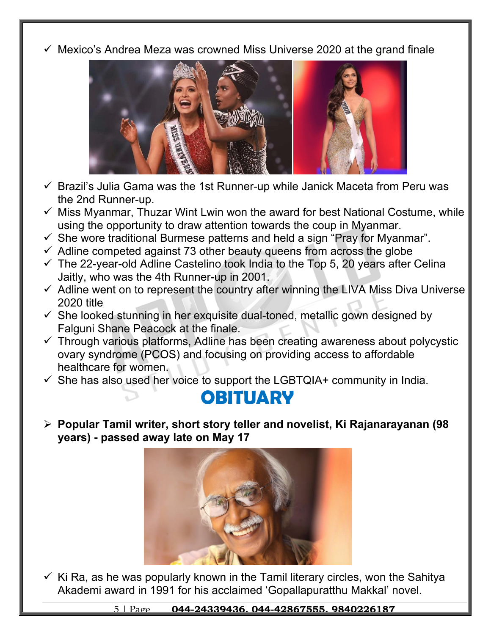$\checkmark$  Mexico's Andrea Meza was crowned Miss Universe 2020 at the grand finale



- $\checkmark$  Brazil's Julia Gama was the 1st Runner-up while Janick Maceta from Peru was the 2nd Runner-up.
- $\checkmark$  Miss Myanmar, Thuzar Wint Lwin won the award for best National Costume, while using the opportunity to draw attention towards the coup in Myanmar.
- $\checkmark$  She wore traditional Burmese patterns and held a sign "Pray for Myanmar".
- $\checkmark$  Adline competed against 73 other beauty queens from across the globe
- $\checkmark$  The 22-year-old Adline Castelino took India to the Top 5, 20 years after Celina Jaitly, who was the 4th Runner-up in 2001.
- $\checkmark$  Adline went on to represent the country after winning the LIVA Miss Diva Universe 2020 title
- $\checkmark$  She looked stunning in her exquisite dual-toned, metallic gown designed by Falguni Shane Peacock at the finale.
- $\checkmark$  Through various platforms, Adline has been creating awareness about polycystic ovary syndrome (PCOS) and focusing on providing access to affordable healthcare for women.
- $\checkmark$  She has also used her voice to support the LGBTQIA+ community in India.

#### **OBITUARY**

 **Popular Tamil writer, short story teller and novelist, Ki Rajanarayanan (98 years) - passed away late on May 17**



 $\checkmark$  Ki Ra, as he was popularly known in the Tamil literary circles, won the Sahitya Akademi award in 1991 for his acclaimed 'Gopallapuratthu Makkal' novel.